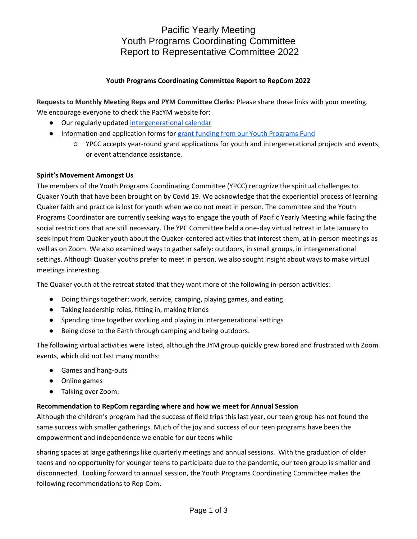Pacific Yearly Meeting Youth Programs Coordinating Committee Report to Representative Committee 2022

## **Youth Programs Coordinating Committee Report to RepCom 2022**

**Requests to Monthly Meeting Reps and PYM Committee Clerks:** Please share these links with your meeting. We encourage everyone to check the PacYM website for:

- Our regularly updated [intergenerational calendar](https://www.pacificyearlymeeting.org/youth/calendar/)
- Information and application forms for [grant funding from our Youth Programs Fund](https://www.pacificyearlymeeting.org/youth-programs-fund-of-the-bob-vogel-endowment/)
	- YPCC accepts year-round grant applications for youth and intergenerational projects and events, or event attendance assistance.

## **Spirit's Movement Amongst Us**

The members of the Youth Programs Coordinating Committee (YPCC) recognize the spiritual challenges to Quaker Youth that have been brought on by Covid 19. We acknowledge that the experiential process of learning Quaker faith and practice is lost for youth when we do not meet in person. The committee and the Youth Programs Coordinator are currently seeking ways to engage the youth of Pacific Yearly Meeting while facing the social restrictions that are still necessary. The YPC Committee held a one-day virtual retreat in late January to seek input from Quaker youth about the Quaker-centered activities that interest them, at in-person meetings as well as on Zoom. We also examined ways to gather safely: outdoors, in small groups, in intergenerational settings. Although Quaker youths prefer to meet in person, we also sought insight about ways to make virtual meetings interesting.

The Quaker youth at the retreat stated that they want more of the following in-person activities:

- Doing things together: work, service, camping, playing games, and eating
- Taking leadership roles, fitting in, making friends
- Spending time together working and playing in intergenerational settings
- Being close to the Earth through camping and being outdoors.

The following virtual activities were listed, although the JYM group quickly grew bored and frustrated with Zoom events, which did not last many months:

- Games and hang-outs
- Online games
- Talking over Zoom.

## **Recommendation to RepCom regarding where and how we meet for Annual Session**

Although the children's program had the success of field trips this last year, our teen group has not found the same success with smaller gatherings. Much of the joy and success of our teen programs have been the empowerment and independence we enable for our teens while

sharing spaces at large gatherings like quarterly meetings and annual sessions. With the graduation of older teens and no opportunity for younger teens to participate due to the pandemic, our teen group is smaller and disconnected. Looking forward to annual session, the Youth Programs Coordinating Committee makes the following recommendations to Rep Com.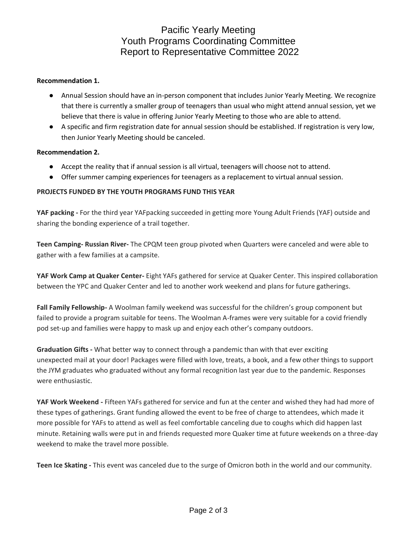# Pacific Yearly Meeting Youth Programs Coordinating Committee Report to Representative Committee 2022

## **Recommendation 1.**

- Annual Session should have an in-person component that includes Junior Yearly Meeting. We recognize that there is currently a smaller group of teenagers than usual who might attend annual session, yet we believe that there is value in offering Junior Yearly Meeting to those who are able to attend.
- A specific and firm registration date for annual session should be established. If registration is very low, then Junior Yearly Meeting should be canceled.

## **Recommendation 2.**

- Accept the reality that if annual session is all virtual, teenagers will choose not to attend.
- Offer summer camping experiences for teenagers as a replacement to virtual annual session.

## **PROJECTS FUNDED BY THE YOUTH PROGRAMS FUND THIS YEAR**

**YAF packing -** For the third year YAFpacking succeeded in getting more Young Adult Friends (YAF) outside and sharing the bonding experience of a trail together.

**Teen Camping- Russian River-** The CPQM teen group pivoted when Quarters were canceled and were able to gather with a few families at a campsite.

**YAF Work Camp at Quaker Center-** Eight YAFs gathered for service at Quaker Center. This inspired collaboration between the YPC and Quaker Center and led to another work weekend and plans for future gatherings.

**Fall Family Fellowship-** A Woolman family weekend was successful for the children's group component but failed to provide a program suitable for teens. The Woolman A-frames were very suitable for a covid friendly pod set-up and families were happy to mask up and enjoy each other's company outdoors.

**Graduation Gifts -** What better way to connect through a pandemic than with that ever exciting unexpected mail at your door! Packages were filled with love, treats, a book, and a few other things to support the JYM graduates who graduated without any formal recognition last year due to the pandemic. Responses were enthusiastic.

**YAF Work Weekend -** Fifteen YAFs gathered for service and fun at the center and wished they had had more of these types of gatherings. Grant funding allowed the event to be free of charge to attendees, which made it more possible for YAFs to attend as well as feel comfortable canceling due to coughs which did happen last minute. Retaining walls were put in and friends requested more Quaker time at future weekends on a three-day weekend to make the travel more possible.

**Teen Ice Skating -** This event was canceled due to the surge of Omicron both in the world and our community.